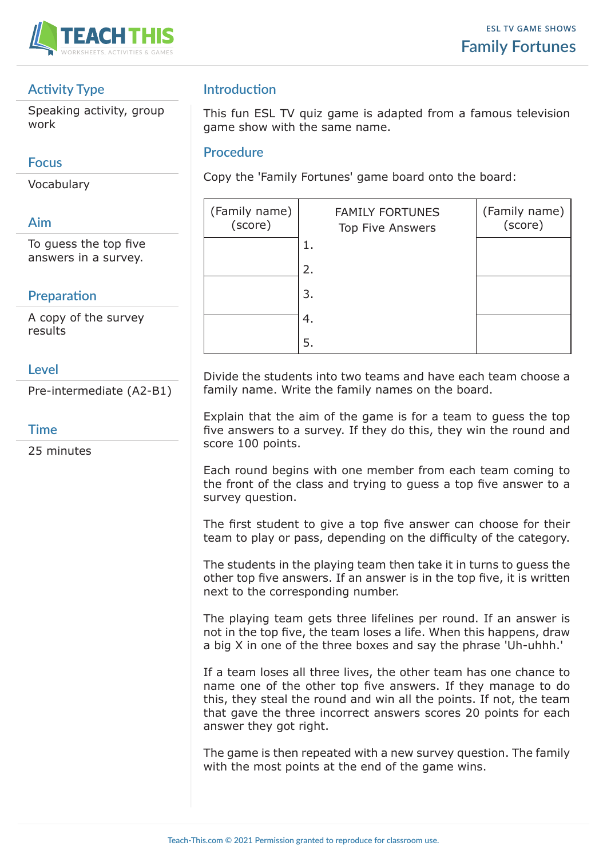

### **Activity Type**

Speaking activity, group work

#### **Focus**

Vocabulary

### **Aim**

To guess the top five answers in a survey.

## **Preparation**

A copy of the survey results

#### **Level**

Pre-intermediate (A2-B1)

#### **Time**

25 minutes

## **Introduction**

This fun ESL TV quiz game is adapted from a famous television game show with the same name.

#### **Procedure**

Copy the 'Family Fortunes' game board onto the board:

| (Family name)<br>(score) | <b>FAMILY FORTUNES</b><br><b>Top Five Answers</b> | (Family name)<br>(score) |
|--------------------------|---------------------------------------------------|--------------------------|
|                          | ı.                                                |                          |
|                          | 2.                                                |                          |
|                          | 3.                                                |                          |
|                          | 4.                                                |                          |
|                          | 5.                                                |                          |

Divide the students into two teams and have each team choose a family name. Write the family names on the board.

Explain that the aim of the game is for a team to guess the top five answers to a survey. If they do this, they win the round and score 100 points.

Each round begins with one member from each team coming to the front of the class and trying to guess a top five answer to a survey question.

The first student to give a top five answer can choose for their team to play or pass, depending on the difficulty of the category.

The students in the playing team then take it in turns to guess the other top five answers. If an answer is in the top five, it is written next to the corresponding number.

The playing team gets three lifelines per round. If an answer is not in the top five, the team loses a life. When this happens, draw a big X in one of the three boxes and say the phrase 'Uh-uhhh.'

If a team loses all three lives, the other team has one chance to name one of the other top five answers. If they manage to do this, they steal the round and win all the points. If not, the team that gave the three incorrect answers scores 20 points for each answer they got right.

The game is then repeated with a new survey question. The family with the most points at the end of the game wins.